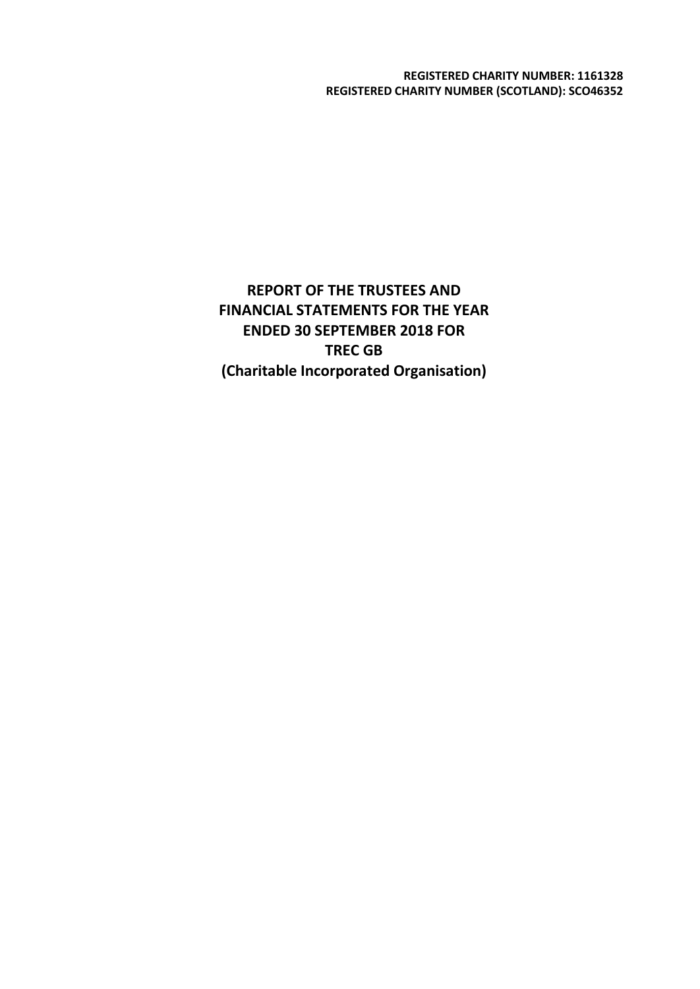**REGISTERED CHARITY NUMBER: 1161328 REGISTERED CHARITY NUMBER (SCOTLAND): SCO46352**

**REPORT OF THE TRUSTEES AND FINANCIAL STATEMENTS FOR THE YEAR ENDED 30 SEPTEMBER 2018 FOR TREC GB (Charitable Incorporated Organisation)**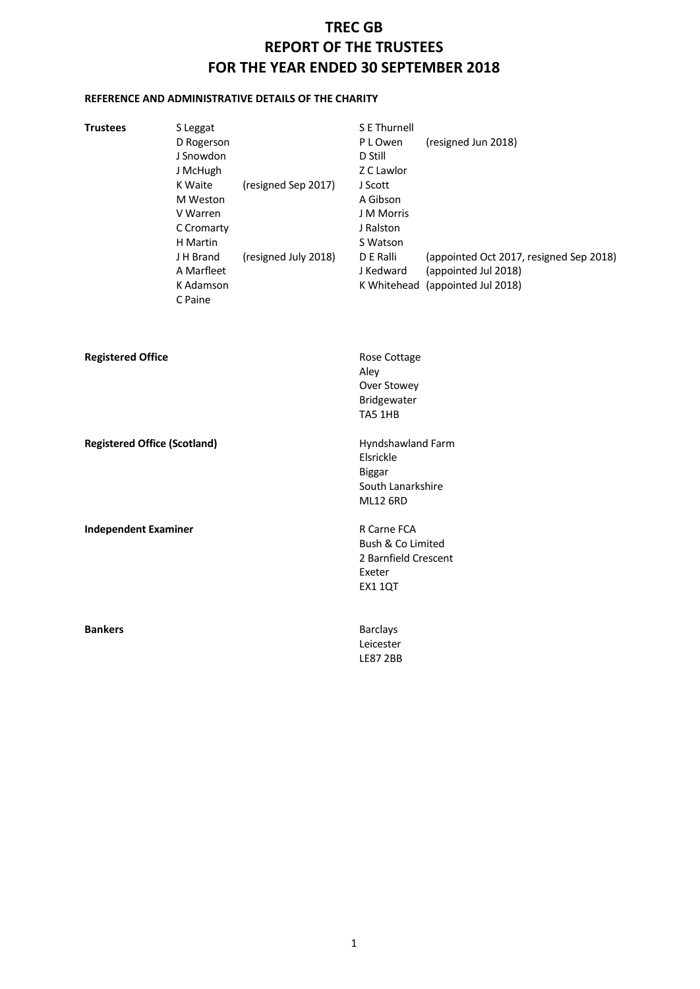# **TREC GB REPORT OF THE TRUSTEES FOR THE YEAR ENDED 30 SEPTEMBER 2018**

# **REFERENCE AND ADMINISTRATIVE DETAILS OF THE CHARITY**

| <b>Trustees</b>                     | S Leggat<br>D Rogerson<br>J Snowdon<br>J McHugh<br>K Waite<br>M Weston<br>V Warren<br>C Cromarty<br>H Martin<br>J H Brand<br>A Marfleet<br>K Adamson | (resigned Sep 2017)<br>(resigned July 2018) | S E Thurnell<br>P L Owen<br>D Still<br>Z C Lawlor<br>J Scott<br>A Gibson<br>J M Morris<br>J Ralston<br>S Watson<br>D E Ralli<br>J Kedward | (resigned Jun 2018)<br>(appointed Oct 2017, resigned Sep 2018)<br>(appointed Jul 2018)<br>K Whitehead (appointed Jul 2018) |
|-------------------------------------|------------------------------------------------------------------------------------------------------------------------------------------------------|---------------------------------------------|-------------------------------------------------------------------------------------------------------------------------------------------|----------------------------------------------------------------------------------------------------------------------------|
|                                     | C Paine                                                                                                                                              |                                             |                                                                                                                                           |                                                                                                                            |
| <b>Registered Office</b>            |                                                                                                                                                      |                                             | Rose Cottage<br>Aley<br>Over Stowey<br>Bridgewater<br>TA5 1HB                                                                             |                                                                                                                            |
| <b>Registered Office (Scotland)</b> |                                                                                                                                                      |                                             | Hyndshawland Farm<br>Elsrickle<br>Biggar<br>South Lanarkshire<br><b>ML12 6RD</b>                                                          |                                                                                                                            |
| <b>Independent Examiner</b>         |                                                                                                                                                      |                                             | R Carne FCA<br>Bush & Co Limited<br>2 Barnfield Crescent<br>Exeter<br><b>EX1 1QT</b>                                                      |                                                                                                                            |
| <b>Bankers</b>                      |                                                                                                                                                      |                                             | <b>Barclays</b><br>Leicester<br><b>LE87 2BB</b>                                                                                           |                                                                                                                            |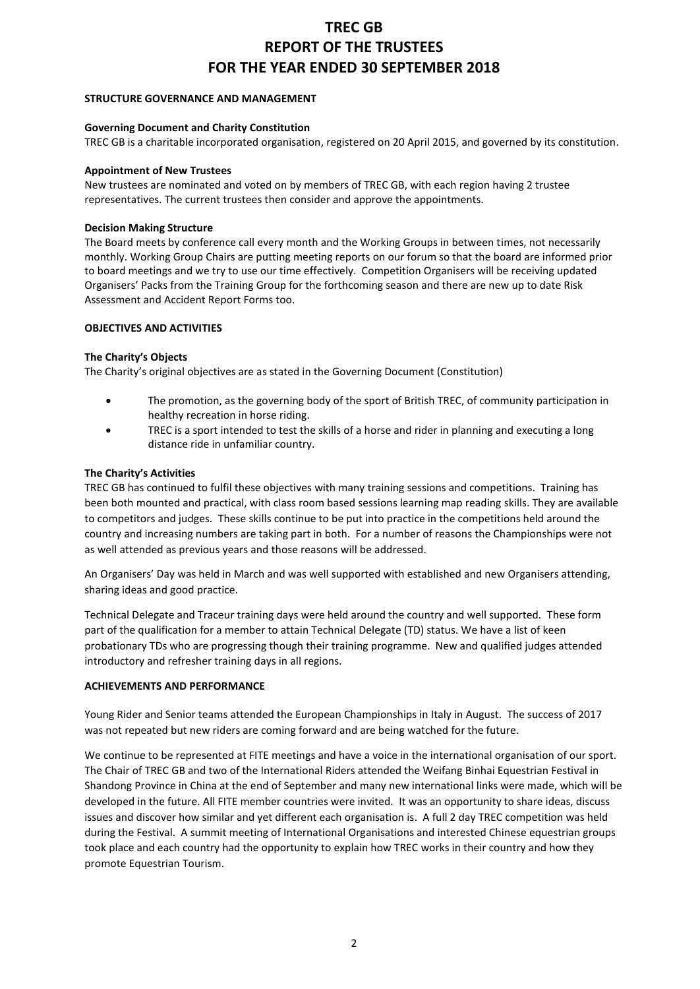# **TREC GB REPORT OF THE TRUSTEES FOR THE YEAR ENDED 30 SEPTEMBER 2018**

### **STRUCTURE GOVERNANCE AND MANAGEMENT**

## **Governing Document and Charity Constitution**

TREC GB is a charitable incorporated organisation, registered on 20 April 2015, and governed by its constitution.

### **Appointment of New Trustees**

New trustees are nominated and voted on by members of TREC GB, with each region having 2 trustee representatives. The current trustees then consider and approve the appointments.

### **Decision Making Structure**

The Board meets by conference call every month and the Working Groups in between times, not necessarily monthly. Working Group Chairs are putting meeting reports on our forum so that the board are informed prior to board meetings and we try to use our time effectively. Competition Organisers will be receiving updated Organisers' Packs from the Training Group for the forthcoming season and there are new up to date Risk Assessment and Accident Report Forms too.

## **OBJECTIVES AND ACTIVITIES**

## **The Charity's Objects**

The Charity's original objectives are as stated in the Governing Document (Constitution)

- The promotion, as the governing body of the sport of British TREC, of community participation in healthy recreation in horse riding.
- TREC is a sport intended to test the skills of a horse and rider in planning and executing a long distance ride in unfamiliar country.

## **The Charity's Activities**

TREC GB has continued to fulfil these objectives with many training sessions and competitions. Training has been both mounted and practical, with class room based sessions learning map reading skills. They are available to competitors and judges. These skills continue to be put into practice in the competitions held around the country and increasing numbers are taking part in both. For a number of reasons the Championships were not as well attended as previous years and those reasons will be addressed.

An Organisers' Day was held in March and was well supported with established and new Organisers attending, sharing ideas and good practice.

Technical Delegate and Traceur training days were held around the country and well supported. These form part of the qualification for a member to attain Technical Delegate (TD) status. We have a list of keen probationary TDs who are progressing though their training programme. New and qualified judges attended introductory and refresher training days in all regions.

#### **ACHIEVEMENTS AND PERFORMANCE**

Young Rider and Senior teams attended the European Championships in Italy in August. The success of 2017 was not repeated but new riders are coming forward and are being watched for the future.

We continue to be represented at FITE meetings and have a voice in the international organisation of our sport. The Chair of TREC GB and two of the International Riders attended the Weifang Binhai Equestrian Festival in Shandong Province in China at the end of September and many new international links were made, which will be developed in the future. All FITE member countries were invited. It was an opportunity to share ideas, discuss issues and discover how similar and yet different each organisation is. A full 2 day TREC competition was held during the Festival. A summit meeting of International Organisations and interested Chinese equestrian groups took place and each country had the opportunity to explain how TREC works in their country and how they promote Equestrian Tourism.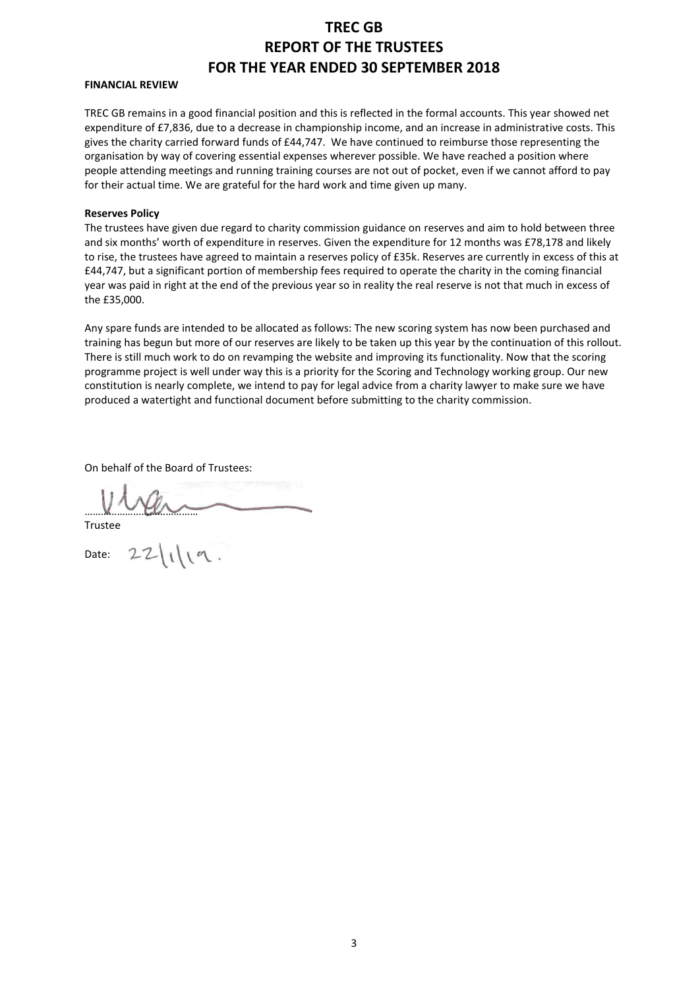# **TREC GB REPORT OF THE TRUSTEES FOR THE YEAR ENDED 30 SEPTEMBER 2018**

#### **FINANCIAL REVIEW**

TREC GB remains in a good financial position and this is reflected in the formal accounts. This year showed net expenditure of £7,836, due to a decrease in championship income, and an increase in administrative costs. This gives the charity carried forward funds of £44,747. We have continued to reimburse those representing the organisation by way of covering essential expenses wherever possible. We have reached a position where people attending meetings and running training courses are not out of pocket, even if we cannot afford to pay for their actual time. We are grateful for the hard work and time given up many.

#### **Reserves Policy**

The trustees have given due regard to charity commission guidance on reserves and aim to hold between three and six months' worth of expenditure in reserves. Given the expenditure for 12 months was £78,178 and likely to rise, the trustees have agreed to maintain a reserves policy of £35k. Reserves are currently in excess of this at £44,747, but a significant portion of membership fees required to operate the charity in the coming financial year was paid in right at the end of the previous year so in reality the real reserve is not that much in excess of the £35,000.

Any spare funds are intended to be allocated as follows: The new scoring system has now been purchased and training has begun but more of our reserves are likely to be taken up this year by the continuation of this rollout. There is still much work to do on revamping the website and improving its functionality. Now that the scoring programme project is well under way this is a priority for the Scoring and Technology working group. Our new constitution is nearly complete, we intend to pay for legal advice from a charity lawyer to make sure we have produced a watertight and functional document before submitting to the charity commission.

On behalf of the Board of Trustees:

 $22|1|19.$ Trustee

Date: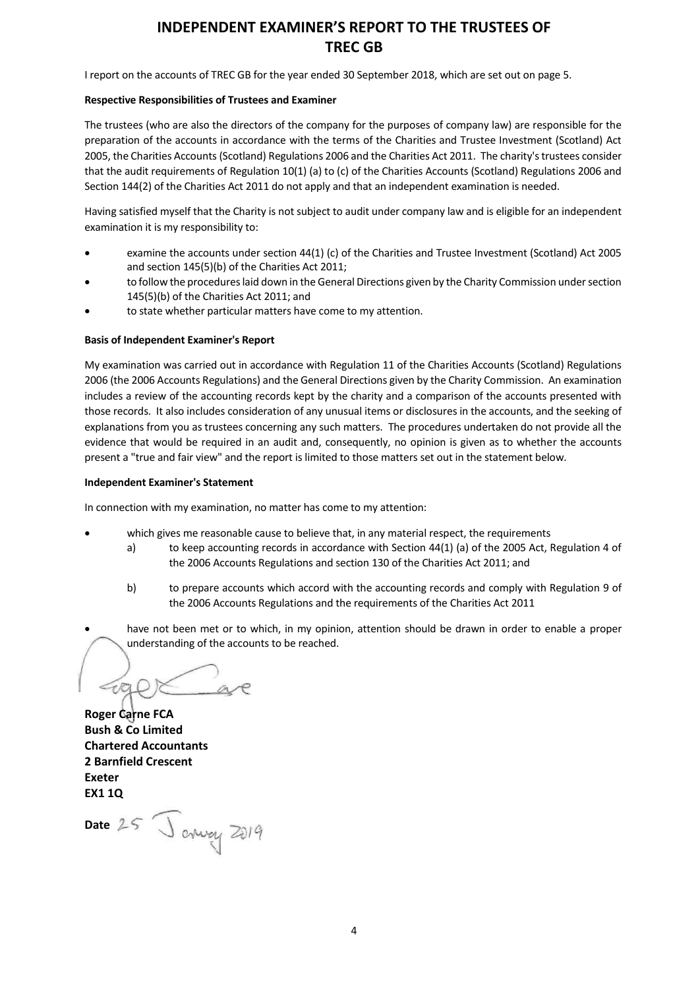# **INDEPENDENT EXAMINER'S REPORT TO THE TRUSTEES OF TREC GB**

I report on the accounts of TREC GB for the year ended 30 September 2018, which are set out on page 5.

#### **Respective Responsibilities of Trustees and Examiner**

The trustees (who are also the directors of the company for the purposes of company law) are responsible for the preparation of the accounts in accordance with the terms of the Charities and Trustee Investment (Scotland) Act 2005, the Charities Accounts (Scotland) Regulations 2006 and the Charities Act 2011. The charity's trustees consider that the audit requirements of Regulation 10(1) (a) to (c) of the Charities Accounts (Scotland) Regulations 2006 and Section 144(2) of the Charities Act 2011 do not apply and that an independent examination is needed.

Having satisfied myself that the Charity is not subject to audit under company law and is eligible for an independent examination it is my responsibility to:

- examine the accounts under section 44(1) (c) of the Charities and Trustee Investment (Scotland) Act 2005 and section 145(5)(b) of the Charities Act 2011;
- to follow the procedures laid down in the General Directions given by the Charity Commission under section 145(5)(b) of the Charities Act 2011; and
- to state whether particular matters have come to my attention.

#### **Basis of Independent Examiner's Report**

My examination was carried out in accordance with Regulation 11 of the Charities Accounts (Scotland) Regulations 2006 (the 2006 Accounts Regulations) and the General Directions given by the Charity Commission. An examination includes a review of the accounting records kept by the charity and a comparison of the accounts presented with those records. It also includes consideration of any unusual items or disclosures in the accounts, and the seeking of explanations from you as trustees concerning any such matters. The procedures undertaken do not provide all the evidence that would be required in an audit and, consequently, no opinion is given as to whether the accounts present a "true and fair view" and the report is limited to those matters set out in the statement below.

#### **Independent Examiner's Statement**

In connection with my examination, no matter has come to my attention:

- which gives me reasonable cause to believe that, in any material respect, the requirements
	- a) to keep accounting records in accordance with Section 44(1) (a) of the 2005 Act, Regulation 4 of the 2006 Accounts Regulations and section 130 of the Charities Act 2011; and
	- b) to prepare accounts which accord with the accounting records and comply with Regulation 9 of the 2006 Accounts Regulations and the requirements of the Charities Act 2011
- have not been met or to which, in my opinion, attention should be drawn in order to enable a proper understanding of the accounts to be reached.

 $\epsilon$ a

**Roger Carne FCA Bush & Co Limited Chartered Accountants 2 Barnfield Crescent Exeter EX1 1Q**

Date 25 January 2019